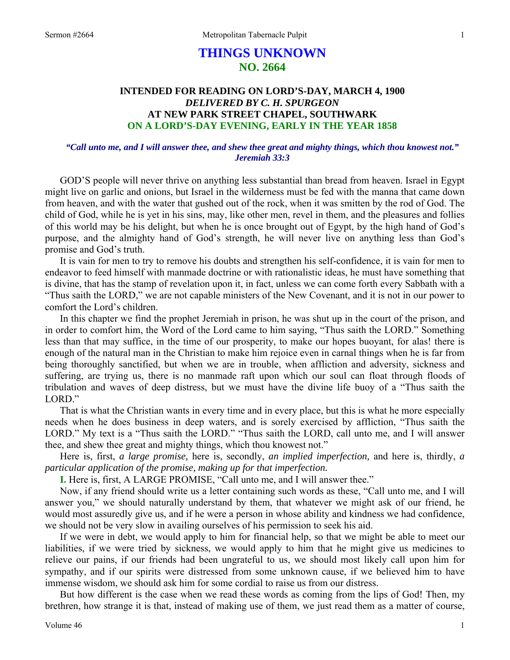# **THINGS UNKNOWN NO. 2664**

## **INTENDED FOR READING ON LORD'S-DAY, MARCH 4, 1900**  *DELIVERED BY C. H. SPURGEON*  **AT NEW PARK STREET CHAPEL, SOUTHWARK ON A LORD'S-DAY EVENING, EARLY IN THE YEAR 1858**

### *"Call unto me, and I will answer thee, and shew thee great and mighty things, which thou knowest not." Jeremiah 33:3*

GOD'S people will never thrive on anything less substantial than bread from heaven. Israel in Egypt might live on garlic and onions, but Israel in the wilderness must be fed with the manna that came down from heaven, and with the water that gushed out of the rock, when it was smitten by the rod of God. The child of God, while he is yet in his sins, may, like other men, revel in them, and the pleasures and follies of this world may be his delight, but when he is once brought out of Egypt, by the high hand of God's purpose, and the almighty hand of God's strength, he will never live on anything less than God's promise and God's truth.

It is vain for men to try to remove his doubts and strengthen his self-confidence, it is vain for men to endeavor to feed himself with manmade doctrine or with rationalistic ideas, he must have something that is divine, that has the stamp of revelation upon it, in fact, unless we can come forth every Sabbath with a "Thus saith the LORD," we are not capable ministers of the New Covenant, and it is not in our power to comfort the Lord's children.

In this chapter we find the prophet Jeremiah in prison, he was shut up in the court of the prison, and in order to comfort him, the Word of the Lord came to him saying, "Thus saith the LORD." Something less than that may suffice, in the time of our prosperity, to make our hopes buoyant, for alas! there is enough of the natural man in the Christian to make him rejoice even in carnal things when he is far from being thoroughly sanctified, but when we are in trouble, when affliction and adversity, sickness and suffering, are trying us, there is no manmade raft upon which our soul can float through floods of tribulation and waves of deep distress, but we must have the divine life buoy of a "Thus saith the LORD."

That is what the Christian wants in every time and in every place, but this is what he more especially needs when he does business in deep waters, and is sorely exercised by affliction, "Thus saith the LORD." My text is a "Thus saith the LORD." "Thus saith the LORD, call unto me, and I will answer thee, and shew thee great and mighty things, which thou knowest not."

Here is, first, *a large promise,* here is, secondly, *an implied imperfection,* and here is, thirdly, *a particular application of the promise, making up for that imperfection.* 

**I.** Here is, first, A LARGE PROMISE, "Call unto me, and I will answer thee."

Now, if any friend should write us a letter containing such words as these, "Call unto me, and I will answer you," we should naturally understand by them, that whatever we might ask of our friend, he would most assuredly give us, and if he were a person in whose ability and kindness we had confidence, we should not be very slow in availing ourselves of his permission to seek his aid.

If we were in debt, we would apply to him for financial help, so that we might be able to meet our liabilities, if we were tried by sickness, we would apply to him that he might give us medicines to relieve our pains, if our friends had been ungrateful to us, we should most likely call upon him for sympathy, and if our spirits were distressed from some unknown cause, if we believed him to have immense wisdom, we should ask him for some cordial to raise us from our distress.

But how different is the case when we read these words as coming from the lips of God! Then, my brethren, how strange it is that, instead of making use of them, we just read them as a matter of course,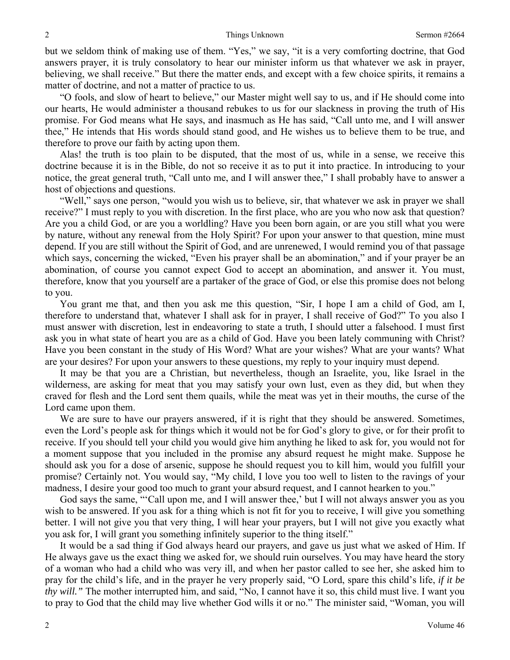but we seldom think of making use of them. "Yes," we say, "it is a very comforting doctrine, that God answers prayer, it is truly consolatory to hear our minister inform us that whatever we ask in prayer, believing, we shall receive." But there the matter ends, and except with a few choice spirits, it remains a matter of doctrine, and not a matter of practice to us.

"O fools, and slow of heart to believe," our Master might well say to us, and if He should come into our hearts, He would administer a thousand rebukes to us for our slackness in proving the truth of His promise. For God means what He says, and inasmuch as He has said, "Call unto me, and I will answer thee," He intends that His words should stand good, and He wishes us to believe them to be true, and therefore to prove our faith by acting upon them.

Alas! the truth is too plain to be disputed, that the most of us, while in a sense, we receive this doctrine because it is in the Bible, do not so receive it as to put it into practice. In introducing to your notice, the great general truth, "Call unto me, and I will answer thee," I shall probably have to answer a host of objections and questions.

"Well," says one person, "would you wish us to believe, sir, that whatever we ask in prayer we shall receive?" I must reply to you with discretion. In the first place, who are you who now ask that question? Are you a child God, or are you a worldling? Have you been born again, or are you still what you were by nature, without any renewal from the Holy Spirit? For upon your answer to that question, mine must depend. If you are still without the Spirit of God, and are unrenewed, I would remind you of that passage which says, concerning the wicked, "Even his prayer shall be an abomination," and if your prayer be an abomination, of course you cannot expect God to accept an abomination, and answer it. You must, therefore, know that you yourself are a partaker of the grace of God, or else this promise does not belong to you.

You grant me that, and then you ask me this question, "Sir, I hope I am a child of God, am I, therefore to understand that, whatever I shall ask for in prayer, I shall receive of God?" To you also I must answer with discretion, lest in endeavoring to state a truth, I should utter a falsehood. I must first ask you in what state of heart you are as a child of God. Have you been lately communing with Christ? Have you been constant in the study of His Word? What are your wishes? What are your wants? What are your desires? For upon your answers to these questions, my reply to your inquiry must depend.

It may be that you are a Christian, but nevertheless, though an Israelite, you, like Israel in the wilderness, are asking for meat that you may satisfy your own lust, even as they did, but when they craved for flesh and the Lord sent them quails, while the meat was yet in their mouths, the curse of the Lord came upon them.

We are sure to have our prayers answered, if it is right that they should be answered. Sometimes, even the Lord's people ask for things which it would not be for God's glory to give, or for their profit to receive. If you should tell your child you would give him anything he liked to ask for, you would not for a moment suppose that you included in the promise any absurd request he might make. Suppose he should ask you for a dose of arsenic, suppose he should request you to kill him, would you fulfill your promise? Certainly not. You would say, "My child, I love you too well to listen to the ravings of your madness, I desire your good too much to grant your absurd request, and I cannot hearken to you."

God says the same, "'Call upon me, and I will answer thee,' but I will not always answer you as you wish to be answered. If you ask for a thing which is not fit for you to receive, I will give you something better. I will not give you that very thing, I will hear your prayers, but I will not give you exactly what you ask for, I will grant you something infinitely superior to the thing itself."

It would be a sad thing if God always heard our prayers, and gave us just what we asked of Him. If He always gave us the exact thing we asked for, we should ruin ourselves. You may have heard the story of a woman who had a child who was very ill, and when her pastor called to see her, she asked him to pray for the child's life, and in the prayer he very properly said, "O Lord, spare this child's life, *if it be thy will."* The mother interrupted him, and said, "No, I cannot have it so, this child must live. I want you to pray to God that the child may live whether God wills it or no." The minister said, "Woman, you will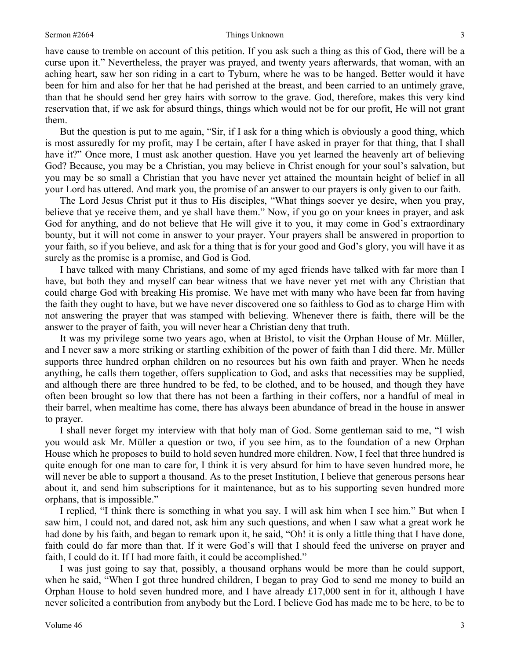have cause to tremble on account of this petition. If you ask such a thing as this of God, there will be a curse upon it." Nevertheless, the prayer was prayed, and twenty years afterwards, that woman, with an aching heart, saw her son riding in a cart to Tyburn, where he was to be hanged. Better would it have been for him and also for her that he had perished at the breast, and been carried to an untimely grave, than that he should send her grey hairs with sorrow to the grave. God, therefore, makes this very kind reservation that, if we ask for absurd things, things which would not be for our profit, He will not grant them.

But the question is put to me again, "Sir, if I ask for a thing which is obviously a good thing, which is most assuredly for my profit, may I be certain, after I have asked in prayer for that thing, that I shall have it?" Once more, I must ask another question. Have you yet learned the heavenly art of believing God? Because, you may be a Christian, you may believe in Christ enough for your soul's salvation, but you may be so small a Christian that you have never yet attained the mountain height of belief in all your Lord has uttered. And mark you, the promise of an answer to our prayers is only given to our faith.

The Lord Jesus Christ put it thus to His disciples, "What things soever ye desire, when you pray, believe that ye receive them, and ye shall have them." Now, if you go on your knees in prayer, and ask God for anything, and do not believe that He will give it to you, it may come in God's extraordinary bounty, but it will not come in answer to your prayer. Your prayers shall be answered in proportion to your faith, so if you believe, and ask for a thing that is for your good and God's glory, you will have it as surely as the promise is a promise, and God is God.

I have talked with many Christians, and some of my aged friends have talked with far more than I have, but both they and myself can bear witness that we have never yet met with any Christian that could charge God with breaking His promise. We have met with many who have been far from having the faith they ought to have, but we have never discovered one so faithless to God as to charge Him with not answering the prayer that was stamped with believing. Whenever there is faith, there will be the answer to the prayer of faith, you will never hear a Christian deny that truth.

It was my privilege some two years ago, when at Bristol, to visit the Orphan House of Mr. Müller, and I never saw a more striking or startling exhibition of the power of faith than I did there. Mr. Müller supports three hundred orphan children on no resources but his own faith and prayer. When he needs anything, he calls them together, offers supplication to God, and asks that necessities may be supplied, and although there are three hundred to be fed, to be clothed, and to be housed, and though they have often been brought so low that there has not been a farthing in their coffers, nor a handful of meal in their barrel, when mealtime has come, there has always been abundance of bread in the house in answer to prayer.

I shall never forget my interview with that holy man of God. Some gentleman said to me, "I wish you would ask Mr. Müller a question or two, if you see him, as to the foundation of a new Orphan House which he proposes to build to hold seven hundred more children. Now, I feel that three hundred is quite enough for one man to care for, I think it is very absurd for him to have seven hundred more, he will never be able to support a thousand. As to the preset Institution, I believe that generous persons hear about it, and send him subscriptions for it maintenance, but as to his supporting seven hundred more orphans, that is impossible."

I replied, "I think there is something in what you say. I will ask him when I see him." But when I saw him, I could not, and dared not, ask him any such questions, and when I saw what a great work he had done by his faith, and began to remark upon it, he said, "Oh! it is only a little thing that I have done, faith could do far more than that. If it were God's will that I should feed the universe on prayer and faith, I could do it. If I had more faith, it could be accomplished."

I was just going to say that, possibly, a thousand orphans would be more than he could support, when he said, "When I got three hundred children, I began to pray God to send me money to build an Orphan House to hold seven hundred more, and I have already £17,000 sent in for it, although I have never solicited a contribution from anybody but the Lord. I believe God has made me to be here, to be to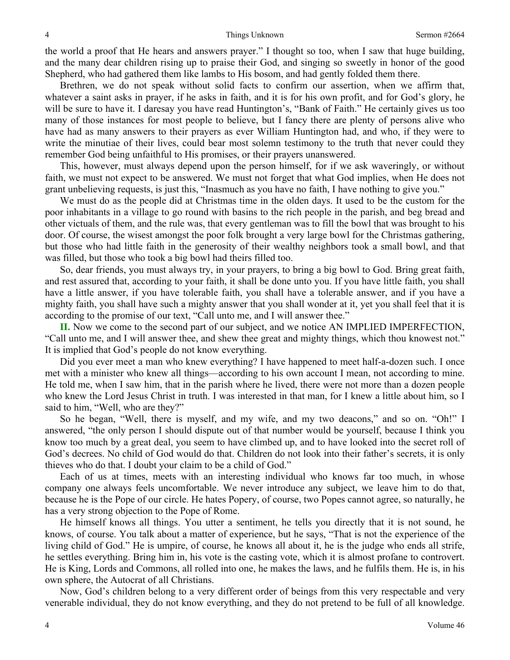the world a proof that He hears and answers prayer." I thought so too, when I saw that huge building, and the many dear children rising up to praise their God, and singing so sweetly in honor of the good Shepherd, who had gathered them like lambs to His bosom, and had gently folded them there.

Brethren, we do not speak without solid facts to confirm our assertion, when we affirm that, whatever a saint asks in prayer, if he asks in faith, and it is for his own profit, and for God's glory, he will be sure to have it. I daresay you have read Huntington's, "Bank of Faith." He certainly gives us too many of those instances for most people to believe, but I fancy there are plenty of persons alive who have had as many answers to their prayers as ever William Huntington had, and who, if they were to write the minutiae of their lives, could bear most solemn testimony to the truth that never could they remember God being unfaithful to His promises, or their prayers unanswered.

This, however, must always depend upon the person himself, for if we ask waveringly, or without faith, we must not expect to be answered. We must not forget that what God implies, when He does not grant unbelieving requests, is just this, "Inasmuch as you have no faith, I have nothing to give you."

We must do as the people did at Christmas time in the olden days. It used to be the custom for the poor inhabitants in a village to go round with basins to the rich people in the parish, and beg bread and other victuals of them, and the rule was, that every gentleman was to fill the bowl that was brought to his door. Of course, the wisest amongst the poor folk brought a very large bowl for the Christmas gathering, but those who had little faith in the generosity of their wealthy neighbors took a small bowl, and that was filled, but those who took a big bowl had theirs filled too.

So, dear friends, you must always try, in your prayers, to bring a big bowl to God. Bring great faith, and rest assured that, according to your faith, it shall be done unto you. If you have little faith, you shall have a little answer, if you have tolerable faith, you shall have a tolerable answer, and if you have a mighty faith, you shall have such a mighty answer that you shall wonder at it, yet you shall feel that it is according to the promise of our text, "Call unto me, and I will answer thee."

**II.** Now we come to the second part of our subject, and we notice AN IMPLIED IMPERFECTION, "Call unto me, and I will answer thee, and shew thee great and mighty things, which thou knowest not." It is implied that God's people do not know everything.

Did you ever meet a man who knew everything? I have happened to meet half-a-dozen such. I once met with a minister who knew all things—according to his own account I mean, not according to mine. He told me, when I saw him, that in the parish where he lived, there were not more than a dozen people who knew the Lord Jesus Christ in truth. I was interested in that man, for I knew a little about him, so I said to him, "Well, who are they?"

So he began, "Well, there is myself, and my wife, and my two deacons," and so on. "Oh!" I answered, "the only person I should dispute out of that number would be yourself, because I think you know too much by a great deal, you seem to have climbed up, and to have looked into the secret roll of God's decrees. No child of God would do that. Children do not look into their father's secrets, it is only thieves who do that. I doubt your claim to be a child of God."

Each of us at times, meets with an interesting individual who knows far too much, in whose company one always feels uncomfortable. We never introduce any subject, we leave him to do that, because he is the Pope of our circle. He hates Popery, of course, two Popes cannot agree, so naturally, he has a very strong objection to the Pope of Rome.

He himself knows all things. You utter a sentiment, he tells you directly that it is not sound, he knows, of course. You talk about a matter of experience, but he says, "That is not the experience of the living child of God." He is umpire, of course, he knows all about it, he is the judge who ends all strife, he settles everything. Bring him in, his vote is the casting vote, which it is almost profane to controvert. He is King, Lords and Commons, all rolled into one, he makes the laws, and he fulfils them. He is, in his own sphere, the Autocrat of all Christians.

Now, God's children belong to a very different order of beings from this very respectable and very venerable individual, they do not know everything, and they do not pretend to be full of all knowledge.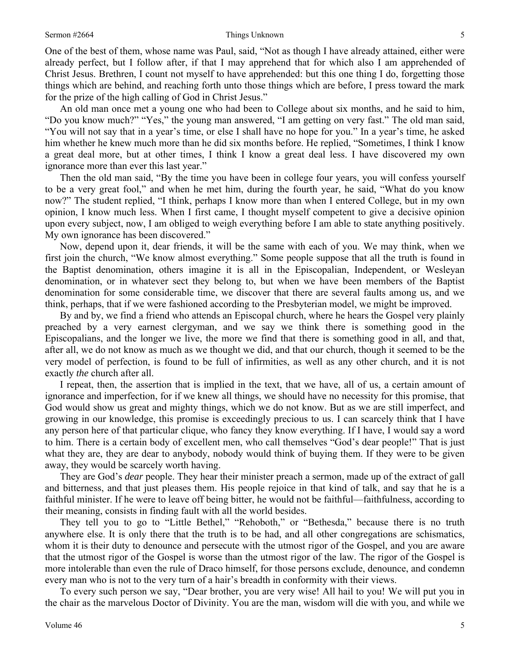#### Sermon #2664 **Things Unknown** 5

One of the best of them, whose name was Paul, said, "Not as though I have already attained, either were already perfect, but I follow after, if that I may apprehend that for which also I am apprehended of Christ Jesus. Brethren, I count not myself to have apprehended: but this one thing I do, forgetting those things which are behind, and reaching forth unto those things which are before, I press toward the mark for the prize of the high calling of God in Christ Jesus."

An old man once met a young one who had been to College about six months, and he said to him, "Do you know much?" "Yes," the young man answered, "I am getting on very fast." The old man said, "You will not say that in a year's time, or else I shall have no hope for you." In a year's time, he asked him whether he knew much more than he did six months before. He replied, "Sometimes, I think I know a great deal more, but at other times, I think I know a great deal less. I have discovered my own ignorance more than ever this last year."

Then the old man said, "By the time you have been in college four years, you will confess yourself to be a very great fool," and when he met him, during the fourth year, he said, "What do you know now?" The student replied, "I think, perhaps I know more than when I entered College, but in my own opinion, I know much less. When I first came, I thought myself competent to give a decisive opinion upon every subject, now, I am obliged to weigh everything before I am able to state anything positively. My own ignorance has been discovered."

Now, depend upon it, dear friends, it will be the same with each of you. We may think, when we first join the church, "We know almost everything." Some people suppose that all the truth is found in the Baptist denomination, others imagine it is all in the Episcopalian, Independent, or Wesleyan denomination, or in whatever sect they belong to, but when we have been members of the Baptist denomination for some considerable time, we discover that there are several faults among us, and we think, perhaps, that if we were fashioned according to the Presbyterian model, we might be improved.

By and by, we find a friend who attends an Episcopal church, where he hears the Gospel very plainly preached by a very earnest clergyman, and we say we think there is something good in the Episcopalians, and the longer we live, the more we find that there is something good in all, and that, after all, we do not know as much as we thought we did, and that our church, though it seemed to be the very model of perfection, is found to be full of infirmities, as well as any other church, and it is not exactly *the* church after all.

I repeat, then, the assertion that is implied in the text, that we have, all of us, a certain amount of ignorance and imperfection, for if we knew all things, we should have no necessity for this promise, that God would show us great and mighty things, which we do not know. But as we are still imperfect, and growing in our knowledge, this promise is exceedingly precious to us. I can scarcely think that I have any person here of that particular clique, who fancy they know everything. If I have, I would say a word to him. There is a certain body of excellent men, who call themselves "God's dear people!" That is just what they are, they are dear to anybody, nobody would think of buying them. If they were to be given away, they would be scarcely worth having.

They are God's *dear* people. They hear their minister preach a sermon, made up of the extract of gall and bitterness, and that just pleases them. His people rejoice in that kind of talk, and say that he is a faithful minister. If he were to leave off being bitter, he would not be faithful—faithfulness, according to their meaning, consists in finding fault with all the world besides.

They tell you to go to "Little Bethel," "Rehoboth," or "Bethesda," because there is no truth anywhere else. It is only there that the truth is to be had, and all other congregations are schismatics, whom it is their duty to denounce and persecute with the utmost rigor of the Gospel, and you are aware that the utmost rigor of the Gospel is worse than the utmost rigor of the law. The rigor of the Gospel is more intolerable than even the rule of Draco himself, for those persons exclude, denounce, and condemn every man who is not to the very turn of a hair's breadth in conformity with their views.

To every such person we say, "Dear brother, you are very wise! All hail to you! We will put you in the chair as the marvelous Doctor of Divinity. You are the man, wisdom will die with you, and while we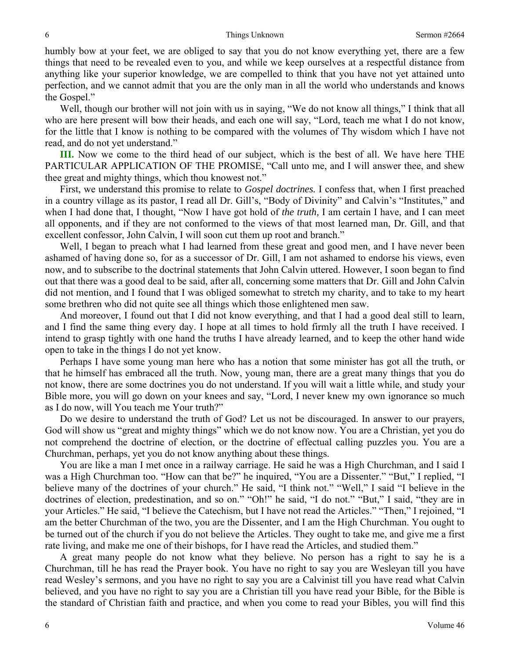humbly bow at your feet, we are obliged to say that you do not know everything yet, there are a few things that need to be revealed even to you, and while we keep ourselves at a respectful distance from anything like your superior knowledge, we are compelled to think that you have not yet attained unto perfection, and we cannot admit that you are the only man in all the world who understands and knows the Gospel."

Well, though our brother will not join with us in saying, "We do not know all things," I think that all who are here present will bow their heads, and each one will say, "Lord, teach me what I do not know, for the little that I know is nothing to be compared with the volumes of Thy wisdom which I have not read, and do not yet understand."

**III.** Now we come to the third head of our subject, which is the best of all. We have here THE PARTICULAR APPLICATION OF THE PROMISE, "Call unto me, and I will answer thee, and shew thee great and mighty things, which thou knowest not."

First, we understand this promise to relate to *Gospel doctrines.* I confess that, when I first preached in a country village as its pastor, I read all Dr. Gill's, "Body of Divinity" and Calvin's "Institutes," and when I had done that, I thought, "Now I have got hold of *the truth,* I am certain I have, and I can meet all opponents, and if they are not conformed to the views of that most learned man, Dr. Gill, and that excellent confessor, John Calvin, I will soon cut them up root and branch."

Well, I began to preach what I had learned from these great and good men, and I have never been ashamed of having done so, for as a successor of Dr. Gill, I am not ashamed to endorse his views, even now, and to subscribe to the doctrinal statements that John Calvin uttered. However, I soon began to find out that there was a good deal to be said, after all, concerning some matters that Dr. Gill and John Calvin did not mention, and I found that I was obliged somewhat to stretch my charity, and to take to my heart some brethren who did not quite see all things which those enlightened men saw.

And moreover, I found out that I did not know everything, and that I had a good deal still to learn, and I find the same thing every day. I hope at all times to hold firmly all the truth I have received. I intend to grasp tightly with one hand the truths I have already learned, and to keep the other hand wide open to take in the things I do not yet know.

Perhaps I have some young man here who has a notion that some minister has got all the truth, or that he himself has embraced all the truth. Now, young man, there are a great many things that you do not know, there are some doctrines you do not understand. If you will wait a little while, and study your Bible more, you will go down on your knees and say, "Lord, I never knew my own ignorance so much as I do now, will You teach me Your truth?"

Do we desire to understand the truth of God? Let us not be discouraged. In answer to our prayers, God will show us "great and mighty things" which we do not know now. You are a Christian, yet you do not comprehend the doctrine of election, or the doctrine of effectual calling puzzles you. You are a Churchman, perhaps, yet you do not know anything about these things.

You are like a man I met once in a railway carriage. He said he was a High Churchman, and I said I was a High Churchman too. "How can that be?" he inquired, "You are a Dissenter." "But," I replied, "I believe many of the doctrines of your church." He said, "I think not." "Well," I said "I believe in the doctrines of election, predestination, and so on." "Oh!" he said, "I do not." "But," I said, "they are in your Articles." He said, "I believe the Catechism, but I have not read the Articles." "Then," I rejoined, "I am the better Churchman of the two, you are the Dissenter, and I am the High Churchman. You ought to be turned out of the church if you do not believe the Articles. They ought to take me, and give me a first rate living, and make me one of their bishops, for I have read the Articles, and studied them."

A great many people do not know what they believe. No person has a right to say he is a Churchman, till he has read the Prayer book. You have no right to say you are Wesleyan till you have read Wesley's sermons, and you have no right to say you are a Calvinist till you have read what Calvin believed, and you have no right to say you are a Christian till you have read your Bible, for the Bible is the standard of Christian faith and practice, and when you come to read your Bibles, you will find this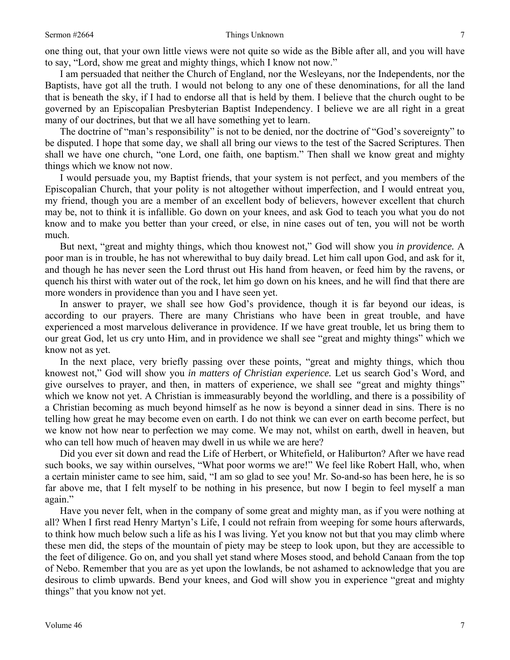one thing out, that your own little views were not quite so wide as the Bible after all, and you will have to say, "Lord, show me great and mighty things, which I know not now."

I am persuaded that neither the Church of England, nor the Wesleyans, nor the Independents, nor the Baptists, have got all the truth. I would not belong to any one of these denominations, for all the land that is beneath the sky, if I had to endorse all that is held by them. I believe that the church ought to be governed by an Episcopalian Presbyterian Baptist Independency. I believe we are all right in a great many of our doctrines, but that we all have something yet to learn.

The doctrine of "man's responsibility" is not to be denied, nor the doctrine of "God's sovereignty" to be disputed. I hope that some day, we shall all bring our views to the test of the Sacred Scriptures. Then shall we have one church, "one Lord, one faith, one baptism." Then shall we know great and mighty things which we know not now.

I would persuade you, my Baptist friends, that your system is not perfect, and you members of the Episcopalian Church, that your polity is not altogether without imperfection, and I would entreat you, my friend, though you are a member of an excellent body of believers, however excellent that church may be, not to think it is infallible. Go down on your knees, and ask God to teach you what you do not know and to make you better than your creed, or else, in nine cases out of ten, you will not be worth much.

But next, "great and mighty things, which thou knowest not," God will show you *in providence.* A poor man is in trouble, he has not wherewithal to buy daily bread. Let him call upon God, and ask for it, and though he has never seen the Lord thrust out His hand from heaven, or feed him by the ravens, or quench his thirst with water out of the rock, let him go down on his knees, and he will find that there are more wonders in providence than you and I have seen yet.

In answer to prayer, we shall see how God's providence, though it is far beyond our ideas, is according to our prayers. There are many Christians who have been in great trouble, and have experienced a most marvelous deliverance in providence. If we have great trouble, let us bring them to our great God, let us cry unto Him, and in providence we shall see "great and mighty things" which we know not as yet.

In the next place, very briefly passing over these points, "great and mighty things, which thou knowest not," God will show you *in matters of Christian experience.* Let us search God's Word, and give ourselves to prayer, and then, in matters of experience, we shall see *"*great and mighty things" which we know not yet. A Christian is immeasurably beyond the worldling, and there is a possibility of a Christian becoming as much beyond himself as he now is beyond a sinner dead in sins. There is no telling how great he may become even on earth. I do not think we can ever on earth become perfect, but we know not how near to perfection we may come. We may not, whilst on earth, dwell in heaven, but who can tell how much of heaven may dwell in us while we are here?

Did you ever sit down and read the Life of Herbert, or Whitefield, or Haliburton? After we have read such books, we say within ourselves, "What poor worms we are!" We feel like Robert Hall, who, when a certain minister came to see him, said, "I am so glad to see you! Mr. So-and-so has been here, he is so far above me, that I felt myself to be nothing in his presence, but now I begin to feel myself a man again."

Have you never felt, when in the company of some great and mighty man, as if you were nothing at all? When I first read Henry Martyn's Life, I could not refrain from weeping for some hours afterwards, to think how much below such a life as his I was living. Yet you know not but that you may climb where these men did, the steps of the mountain of piety may be steep to look upon, but they are accessible to the feet of diligence. Go on, and you shall yet stand where Moses stood, and behold Canaan from the top of Nebo. Remember that you are as yet upon the lowlands, be not ashamed to acknowledge that you are desirous to climb upwards. Bend your knees, and God will show you in experience "great and mighty things" that you know not yet.